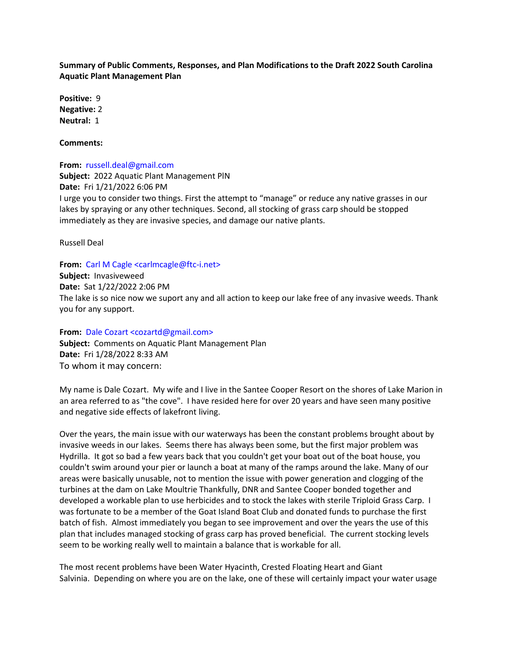**Summary of Public Comments, Responses, and Plan Modifications to the Draft 2022 South Carolina Aquatic Plant Management Plan**

**Positive:** 9 **Negative:** 2 **Neutral:** 1

**Comments:**

**From:** russell.deal@gmail.com **Subject:** 2022 Aquatic Plant Management PlN **Date:** Fri 1/21/2022 6:06 PM I urge you to consider two things. First the attempt to "manage" or reduce any native grasses in our lakes by spraying or any other techniques. Second, all stocking of grass carp should be stopped immediately as they are invasive species, and damage our native plants.

Russell Deal

**From:** Carl M Cagle <carlmcagle@ftc-i.net> **Subject:** Invasiveweed **Date:** Sat 1/22/2022 2:06 PM The lake is so nice now we suport any and all action to keep our lake free of any invasive weeds. Thank you for any support.

**From:** Dale Cozart <cozartd@gmail.com> **Subject:** Comments on Aquatic Plant Management Plan **Date:** Fri 1/28/2022 8:33 AM To whom it may concern:

My name is Dale Cozart. My wife and I live in the Santee Cooper Resort on the shores of Lake Marion in an area referred to as "the cove". I have resided here for over 20 years and have seen many positive and negative side effects of lakefront living.

Over the years, the main issue with our waterways has been the constant problems brought about by invasive weeds in our lakes. Seems there has always been some, but the first major problem was Hydrilla. It got so bad a few years back that you couldn't get your boat out of the boat house, you couldn't swim around your pier or launch a boat at many of the ramps around the lake. Many of our areas were basically unusable, not to mention the issue with power generation and clogging of the turbines at the dam on Lake Moultrie Thankfully, DNR and Santee Cooper bonded together and developed a workable plan to use herbicides and to stock the lakes with sterile Triploid Grass Carp. I was fortunate to be a member of the Goat Island Boat Club and donated funds to purchase the first batch of fish. Almost immediately you began to see improvement and over the years the use of this plan that includes managed stocking of grass carp has proved beneficial. The current stocking levels seem to be working really well to maintain a balance that is workable for all.

The most recent problems have been Water Hyacinth, Crested Floating Heart and Giant Salvinia. Depending on where you are on the lake, one of these will certainly impact your water usage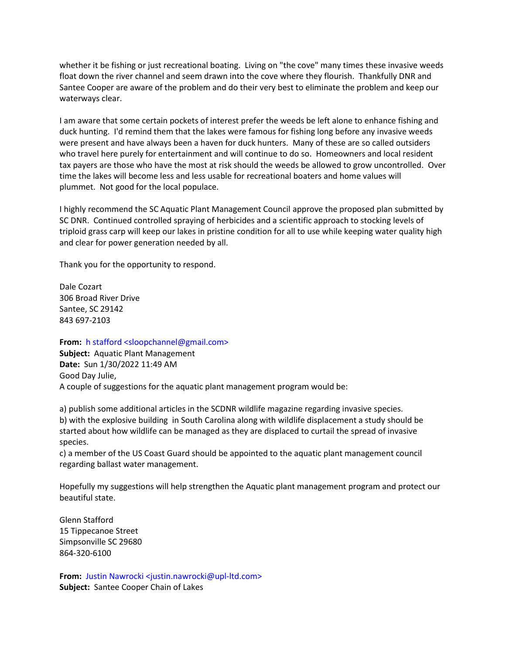whether it be fishing or just recreational boating. Living on "the cove" many times these invasive weeds float down the river channel and seem drawn into the cove where they flourish. Thankfully DNR and Santee Cooper are aware of the problem and do their very best to eliminate the problem and keep our waterways clear.

I am aware that some certain pockets of interest prefer the weeds be left alone to enhance fishing and duck hunting. I'd remind them that the lakes were famous for fishing long before any invasive weeds were present and have always been a haven for duck hunters. Many of these are so called outsiders who travel here purely for entertainment and will continue to do so. Homeowners and local resident tax payers are those who have the most at risk should the weeds be allowed to grow uncontrolled. Over time the lakes will become less and less usable for recreational boaters and home values will plummet. Not good for the local populace.

I highly recommend the SC Aquatic Plant Management Council approve the proposed plan submitted by SC DNR. Continued controlled spraying of herbicides and a scientific approach to stocking levels of triploid grass carp will keep our lakes in pristine condition for all to use while keeping water quality high and clear for power generation needed by all.

Thank you for the opportunity to respond.

Dale Cozart 306 Broad River Drive Santee, SC 29142 843 697-2103

**From:** h stafford <sloopchannel@gmail.com>

**Subject:** Aquatic Plant Management **Date:** Sun 1/30/2022 11:49 AM Good Day Julie, A couple of suggestions for the aquatic plant management program would be:

a) publish some additional articles in the SCDNR wildlife magazine regarding invasive species. b) with the explosive building in South Carolina along with wildlife displacement a study should be started about how wildlife can be managed as they are displaced to curtail the spread of invasive species.

c) a member of the US Coast Guard should be appointed to the aquatic plant management council regarding ballast water management.

Hopefully my suggestions will help strengthen the Aquatic plant management program and protect our beautiful state.

Glenn Stafford 15 Tippecanoe Street Simpsonville SC 29680 864-320-6100

From: Justin Nawrocki <justin.nawrocki@upl-ltd.com> **Subject:** Santee Cooper Chain of Lakes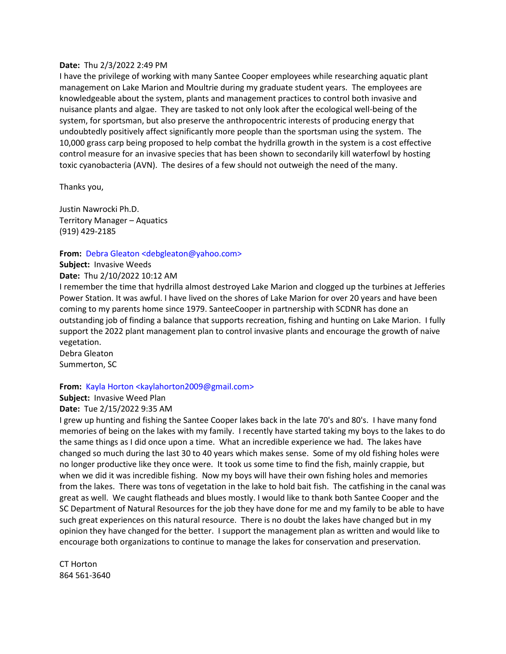### **Date:** Thu 2/3/2022 2:49 PM

I have the privilege of working with many Santee Cooper employees while researching aquatic plant management on Lake Marion and Moultrie during my graduate student years. The employees are knowledgeable about the system, plants and management practices to control both invasive and nuisance plants and algae. They are tasked to not only look after the ecological well-being of the system, for sportsman, but also preserve the anthropocentric interests of producing energy that undoubtedly positively affect significantly more people than the sportsman using the system. The 10,000 grass carp being proposed to help combat the hydrilla growth in the system is a cost effective control measure for an invasive species that has been shown to secondarily kill waterfowl by hosting toxic cyanobacteria (AVN). The desires of a few should not outweigh the need of the many.

Thanks you,

Justin Nawrocki Ph.D. Territory Manager – Aquatics (919) 429-2185

#### **From:** Debra Gleaton <debgleaton@yahoo.com>

**Subject:** Invasive Weeds

**Date:** Thu 2/10/2022 10:12 AM

I remember the time that hydrilla almost destroyed Lake Marion and clogged up the turbines at Jefferies Power Station. It was awful. I have lived on the shores of Lake Marion for over 20 years and have been coming to my parents home since 1979. SanteeCooper in partnership with SCDNR has done an outstanding job of finding a balance that supports recreation, fishing and hunting on Lake Marion. I fully support the 2022 plant management plan to control invasive plants and encourage the growth of naive vegetation.

Debra Gleaton Summerton, SC

### **From:** Kayla Horton <kaylahorton2009@gmail.com>

**Subject:** Invasive Weed Plan **Date:** Tue 2/15/2022 9:35 AM

I grew up hunting and fishing the Santee Cooper lakes back in the late 70's and 80's. I have many fond memories of being on the lakes with my family. I recently have started taking my boys to the lakes to do the same things as I did once upon a time. What an incredible experience we had. The lakes have changed so much during the last 30 to 40 years which makes sense. Some of my old fishing holes were no longer productive like they once were. It took us some time to find the fish, mainly crappie, but when we did it was incredible fishing. Now my boys will have their own fishing holes and memories from the lakes. There was tons of vegetation in the lake to hold bait fish. The catfishing in the canal was great as well. We caught flatheads and blues mostly. I would like to thank both Santee Cooper and the SC Department of Natural Resources for the job they have done for me and my family to be able to have such great experiences on this natural resource. There is no doubt the lakes have changed but in my opinion they have changed for the better. I support the management plan as written and would like to encourage both organizations to continue to manage the lakes for conservation and preservation.

CT Horton 864 561-3640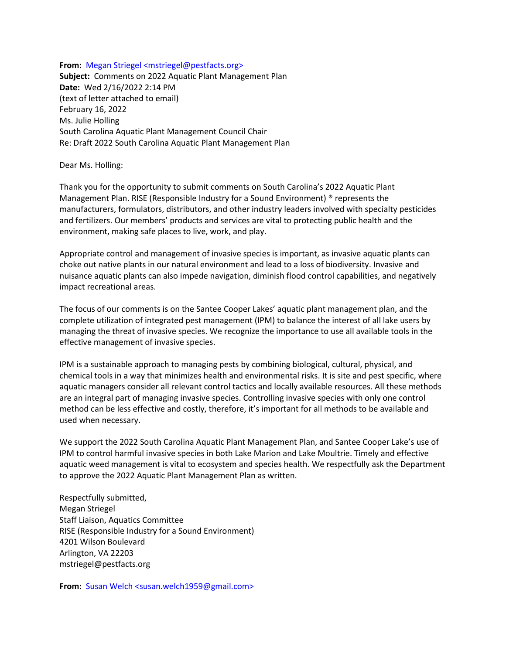**From:** Megan Striegel <mstriegel@pestfacts.org> **Subject:** Comments on 2022 Aquatic Plant Management Plan **Date:** Wed 2/16/2022 2:14 PM (text of letter attached to email) February 16, 2022 Ms. Julie Holling South Carolina Aquatic Plant Management Council Chair Re: Draft 2022 South Carolina Aquatic Plant Management Plan

Dear Ms. Holling:

Thank you for the opportunity to submit comments on South Carolina's 2022 Aquatic Plant Management Plan. RISE (Responsible Industry for a Sound Environment) ® represents the manufacturers, formulators, distributors, and other industry leaders involved with specialty pesticides and fertilizers. Our members' products and services are vital to protecting public health and the environment, making safe places to live, work, and play.

Appropriate control and management of invasive species is important, as invasive aquatic plants can choke out native plants in our natural environment and lead to a loss of biodiversity. Invasive and nuisance aquatic plants can also impede navigation, diminish flood control capabilities, and negatively impact recreational areas.

The focus of our comments is on the Santee Cooper Lakes' aquatic plant management plan, and the complete utilization of integrated pest management (IPM) to balance the interest of all lake users by managing the threat of invasive species. We recognize the importance to use all available tools in the effective management of invasive species.

IPM is a sustainable approach to managing pests by combining biological, cultural, physical, and chemical tools in a way that minimizes health and environmental risks. It is site and pest specific, where aquatic managers consider all relevant control tactics and locally available resources. All these methods are an integral part of managing invasive species. Controlling invasive species with only one control method can be less effective and costly, therefore, it's important for all methods to be available and used when necessary.

We support the 2022 South Carolina Aquatic Plant Management Plan, and Santee Cooper Lake's use of IPM to control harmful invasive species in both Lake Marion and Lake Moultrie. Timely and effective aquatic weed management is vital to ecosystem and species health. We respectfully ask the Department to approve the 2022 Aquatic Plant Management Plan as written.

Respectfully submitted, Megan Striegel Staff Liaison, Aquatics Committee RISE (Responsible Industry for a Sound Environment) 4201 Wilson Boulevard Arlington, VA 22203 mstriegel@pestfacts.org

**From:** Susan Welch <susan.welch1959@gmail.com>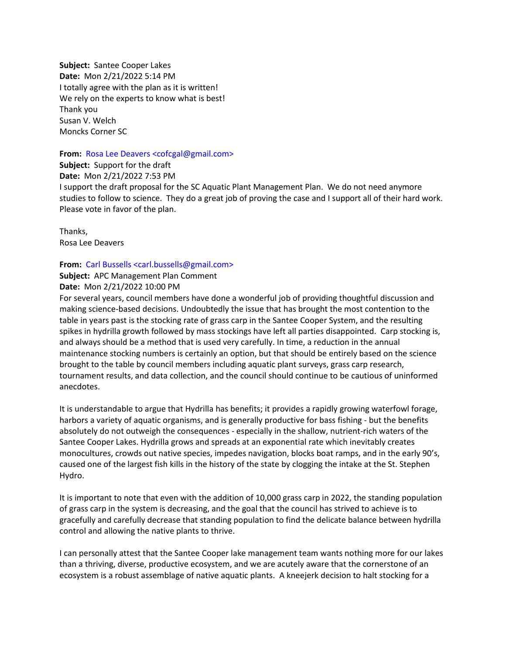**Subject:** Santee Cooper Lakes **Date:** Mon 2/21/2022 5:14 PM I totally agree with the plan as it is written! We rely on the experts to know what is best! Thank you Susan V. Welch Moncks Corner SC

#### **From:** Rosa Lee Deavers <cofcgal@gmail.com>

**Subject:** Support for the draft

**Date:** Mon 2/21/2022 7:53 PM

I support the draft proposal for the SC Aquatic Plant Management Plan. We do not need anymore studies to follow to science. They do a great job of proving the case and I support all of their hard work. Please vote in favor of the plan.

Thanks, Rosa Lee Deavers

## **From:** Carl Bussells <carl.bussells@gmail.com>

**Subject:** APC Management Plan Comment

## **Date:** Mon 2/21/2022 10:00 PM

For several years, council members have done a wonderful job of providing thoughtful discussion and making science-based decisions. Undoubtedly the issue that has brought the most contention to the table in years past is the stocking rate of grass carp in the Santee Cooper System, and the resulting spikes in hydrilla growth followed by mass stockings have left all parties disappointed. Carp stocking is, and always should be a method that is used very carefully. In time, a reduction in the annual maintenance stocking numbers is certainly an option, but that should be entirely based on the science brought to the table by council members including aquatic plant surveys, grass carp research, tournament results, and data collection, and the council should continue to be cautious of uninformed anecdotes.

It is understandable to argue that Hydrilla has benefits; it provides a rapidly growing waterfowl forage, harbors a variety of aquatic organisms, and is generally productive for bass fishing - but the benefits absolutely do not outweigh the consequences - especially in the shallow, nutrient-rich waters of the Santee Cooper Lakes. Hydrilla grows and spreads at an exponential rate which inevitably creates monocultures, crowds out native species, impedes navigation, blocks boat ramps, and in the early 90's, caused one of the largest fish kills in the history of the state by clogging the intake at the St. Stephen Hydro.

It is important to note that even with the addition of 10,000 grass carp in 2022, the standing population of grass carp in the system is decreasing, and the goal that the council has strived to achieve is to gracefully and carefully decrease that standing population to find the delicate balance between hydrilla control and allowing the native plants to thrive.

I can personally attest that the Santee Cooper lake management team wants nothing more for our lakes than a thriving, diverse, productive ecosystem, and we are acutely aware that the cornerstone of an ecosystem is a robust assemblage of native aquatic plants. A kneejerk decision to halt stocking for a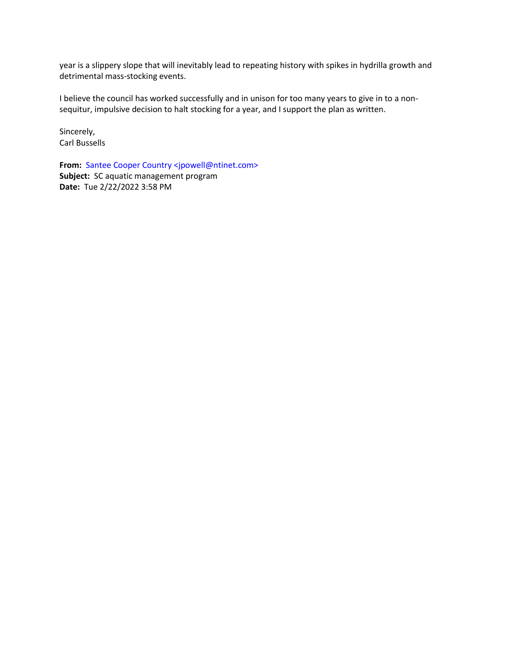year is a slippery slope that will inevitably lead to repeating history with spikes in hydrilla growth and detrimental mass-stocking events.

I believe the council has worked successfully and in unison for too many years to give in to a nonsequitur, impulsive decision to halt stocking for a year, and I support the plan as written.

Sincerely, Carl Bussells

**From:** Santee Cooper Country <jpowell@ntinet.com> **Subject:** SC aquatic management program **Date:** Tue 2/22/2022 3:58 PM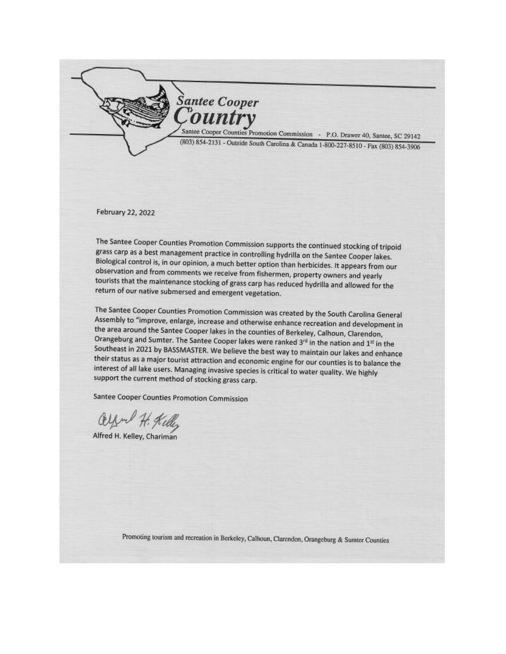

Santee Cooper Counties Promotion Commission - P.O. Drawer 40, Santee, SC 29142 (803) 854-2131 - Outside South Carolina & Canada 1-800-227-8510 - Fax (803) 854-3906

February 22, 2022

The Santee Cooper Counties Promotion Commission supports the continued stocking of tripoid grass carp as a best management practice in controlling hydrilla on the Santee Cooper lakes. Biological control is, in our opinion, a much better option than herbicides. It appears from our observation and from comments we receive from fishermen, property owners and yearly tourists that the maintenance stocking of grass carp has reduced hydrilla and allowed for the return of our native submersed and emergent vegetation.

The Santee Cooper Counties Promotion Commission was created by the South Carolina General Assembly to "improve, enlarge, increase and otherwise enhance recreation and development in the area around the Santee Cooper lakes in the counties of Berkeley, Calhoun, Clarendon, Orangeburg and Sumter. The Santee Cooper lakes were ranked 3rd in the nation and 1st in the Southeast in 2021 by BASSMASTER. We believe the best way to maintain our lakes and enhance their status as a major tourist attraction and economic engine for our counties is to balance the interest of all lake users. Managing invasive species is critical to water quality. We highly support the current method of stocking grass carp.

Santee Cooper Counties Promotion Commission

Alfred H. Kelley, Chariman

Promoting tourism and recreation in Berkeley, Calhoun, Clarendon, Orangeburg & Sumter Counties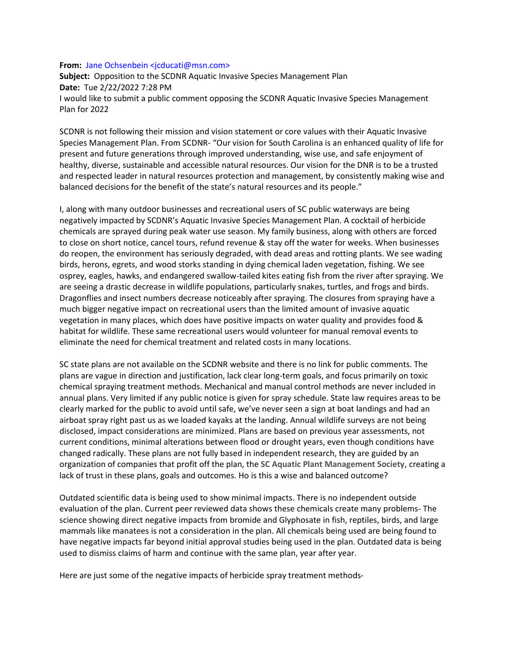#### **From:** Jane Ochsenbein <*icducati@msn.com>*

**Subject:** Opposition to the SCDNR Aquatic Invasive Species Management Plan **Date:** Tue 2/22/2022 7:28 PM I would like to submit a public comment opposing the SCDNR Aquatic Invasive Species Management Plan for 2022

SCDNR is not following their mission and vision statement or core values with their Aquatic Invasive Species Management Plan. From SCDNR- "Our vision for South Carolina is an enhanced quality of life for present and future generations through improved understanding, wise use, and safe enjoyment of healthy, diverse, sustainable and accessible natural resources. Our vision for the DNR is to be a trusted and respected leader in natural resources protection and management, by consistently making wise and balanced decisions for the benefit of the state's natural resources and its people."

I, along with many outdoor businesses and recreational users of SC public waterways are being negatively impacted by SCDNR's Aquatic Invasive Species Management Plan. A cocktail of herbicide chemicals are sprayed during peak water use season. My family business, along with others are forced to close on short notice, cancel tours, refund revenue & stay off the water for weeks. When businesses do reopen, the environment has seriously degraded, with dead areas and rotting plants. We see wading birds, herons, egrets, and wood storks standing in dying chemical laden vegetation, fishing. We see osprey, eagles, hawks, and endangered swallow-tailed kites eating fish from the river after spraying. We are seeing a drastic decrease in wildlife populations, particularly snakes, turtles, and frogs and birds. Dragonflies and insect numbers decrease noticeably after spraying. The closures from spraying have a much bigger negative impact on recreational users than the limited amount of invasive aquatic vegetation in many places, which does have positive impacts on water quality and provides food & habitat for wildlife. These same recreational users would volunteer for manual removal events to eliminate the need for chemical treatment and related costs in many locations.

SC state plans are not available on the SCDNR website and there is no link for public comments. The plans are vague in direction and justification, lack clear long-term goals, and focus primarily on toxic chemical spraying treatment methods. Mechanical and manual control methods are never included in annual plans. Very limited if any public notice is given for spray schedule. State law requires areas to be clearly marked for the public to avoid until safe, we've never seen a sign at boat landings and had an airboat spray right past us as we loaded kayaks at the landing. Annual wildlife surveys are not being disclosed, impact considerations are minimized. Plans are based on previous year assessments, not current conditions, minimal alterations between flood or drought years, even though conditions have changed radically. These plans are not fully based in independent research, they are guided by an organization of companies that profit off the plan, the **SC Aquatic Plant Management Society**, creating a lack of trust in these plans, goals and outcomes. Ho is this a wise and balanced outcome?

Outdated scientific data is being used to show minimal impacts. There is no independent outside evaluation of the plan. Current peer reviewed data shows these chemicals create many problems- The science showing direct negative impacts from bromide and Glyphosate in fish, reptiles, birds, and large mammals like manatees is not a consideration in the plan. All chemicals being used are being found to have negative impacts far beyond initial approval studies being used in the plan. Outdated data is being used to dismiss claims of harm and continue with the same plan, year after year.

Here are just some of the negative impacts of herbicide spray treatment methods-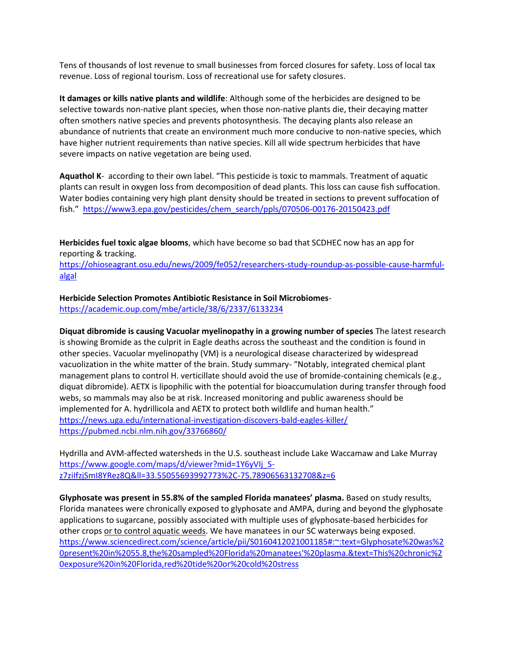Tens of thousands of lost revenue to small businesses from forced closures for safety. Loss of local tax revenue. Loss of regional tourism. Loss of recreational use for safety closures.

**It damages or kills native plants and wildlife**: Although some of the herbicides are designed to be selective towards non-native plant species, when those non-native plants die, their decaying matter often smothers native species and prevents photosynthesis. The decaying plants also release an abundance of nutrients that create an environment much more conducive to non-native species, which have higher nutrient requirements than native species. Kill all wide spectrum herbicides that have severe impacts on native vegetation are being used.

**Aquathol K**- according to their own label. "This pesticide is toxic to mammals. Treatment of aquatic plants can result in oxygen loss from decomposition of dead plants. This loss can cause fish suffocation. Water bodies containing very high plant density should be treated in sections to prevent suffocation of fish." [https://www3.epa.gov/pesticides/chem\\_search/ppls/070506-00176-20150423.pdf](https://www3.epa.gov/pesticides/chem_search/ppls/070506-00176-20150423.pdf)

**Herbicides fuel toxic algae blooms**, which have become so bad that SCDHEC now has an app for reporting & tracking.

[https://ohioseagrant.osu.edu/news/2009/fe052/researchers-study-roundup-as-possible-cause-harmful](https://ohioseagrant.osu.edu/news/2009/fe052/researchers-study-roundup-as-possible-cause-harmful-algal)[algal](https://ohioseagrant.osu.edu/news/2009/fe052/researchers-study-roundup-as-possible-cause-harmful-algal)

**Herbicide Selection Promotes Antibiotic Resistance in Soil Microbiomes**-

<https://academic.oup.com/mbe/article/38/6/2337/6133234>

**Diquat dibromide is causing Vacuolar myelinopathy in a growing number of species** The latest research is showing Bromide as the culprit in Eagle deaths across the southeast and the condition is found in other species. Vacuolar myelinopathy (VM) is a neurological disease characterized by widespread vacuolization in the white matter of the brain. Study summary- "Notably, integrated chemical plant management plans to control H. verticillate should avoid the use of bromide-containing chemicals (e.g., diquat dibromide). AETX is lipophilic with the potential for bioaccumulation during transfer through food webs, so mammals may also be at risk. Increased monitoring and public awareness should be implemented for A. hydrillicola and AETX to protect both wildlife and human health." <https://news.uga.edu/international-investigation-discovers-bald-eagles-killer/> <https://pubmed.ncbi.nlm.nih.gov/33766860/>

Hydrilla and AVM-affected watersheds in the U.S. southeast include Lake Waccamaw and Lake Murray [https://www.google.com/maps/d/viewer?mid=1Y6yVIj\\_S](https://www.google.com/maps/d/viewer?mid=1Y6yVIj_S-z7ziIfzjSmI8YRez8Q&ll=33.55055693992773%2C-75.78906563132708&z=6)[z7ziIfzjSmI8YRez8Q&ll=33.55055693992773%2C-75.78906563132708&z=6](https://www.google.com/maps/d/viewer?mid=1Y6yVIj_S-z7ziIfzjSmI8YRez8Q&ll=33.55055693992773%2C-75.78906563132708&z=6)

**Glyphosate was present in 55.8% of the sampled Florida manatees' plasma.** Based on study results, Florida manatees were chronically exposed to glyphosate and AMPA, during and beyond the glyphosate applications to sugarcane, possibly associated with multiple uses of glyphosate-based herbicides for other crops or to control aquatic weeds. We have manatees in our SC waterways being exposed. [https://www.sciencedirect.com/science/article/pii/S0160412021001185#:~:text=Glyphosate%20was%2](https://www.sciencedirect.com/science/article/pii/S0160412021001185#:~:text=Glyphosate%20was%20present%20in%2055.8,the%20sampled%20Florida%20manatees) [0present%20in%2055.8,the%20sampled%20Florida%20manatees'%20plasma.&text=This%20chronic%2](https://www.sciencedirect.com/science/article/pii/S0160412021001185#:~:text=Glyphosate%20was%20present%20in%2055.8,the%20sampled%20Florida%20manatees) [0exposure%20in%20Florida,red%20tide%20or%20cold%20stress](https://www.sciencedirect.com/science/article/pii/S0160412021001185#:~:text=Glyphosate%20was%20present%20in%2055.8,the%20sampled%20Florida%20manatees)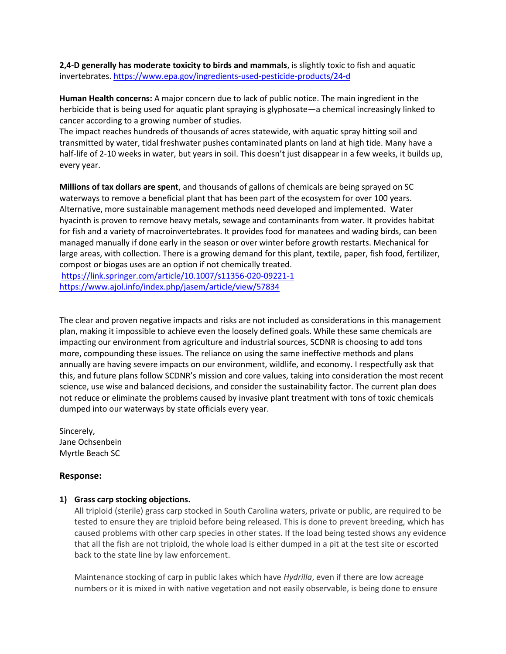**2,4-D generally has moderate toxicity to birds and mammals**, is slightly toxic to fish and aquatic invertebrates[. https://www.epa.gov/ingredients-used-pesticide-products/24-d](https://www.epa.gov/ingredients-used-pesticide-products/24-d)

**Human Health concerns:** A major concern due to lack of public notice. The main ingredient in the herbicide that is being used for aquatic plant spraying is glyphosate—a chemical increasingly linked to cancer according to a growing number of studies.

The impact reaches hundreds of thousands of acres statewide, with aquatic spray hitting soil and transmitted by water, tidal freshwater pushes contaminated plants on land at high tide. Many have a half-life of 2-10 weeks in water, but years in soil. This doesn't just disappear in a few weeks, it builds up, every year.

**Millions of tax dollars are spent**, and thousands of gallons of chemicals are being sprayed on SC waterways to remove a beneficial plant that has been part of the ecosystem for over 100 years. Alternative, more sustainable management methods need developed and implemented. Water hyacinth is proven to remove heavy metals, sewage and contaminants from water. It provides habitat for fish and a variety of macroinvertebrates. It provides food for manatees and wading birds, can been managed manually if done early in the season or over winter before growth restarts. Mechanical for large areas, with collection. There is a growing demand for this plant, textile, paper, fish food, fertilizer, compost or biogas uses are an option if not chemically treated.

<https://link.springer.com/article/10.1007/s11356-020-09221-1> <https://www.ajol.info/index.php/jasem/article/view/57834>

The clear and proven negative impacts and risks are not included as considerations in this management plan, making it impossible to achieve even the loosely defined goals. While these same chemicals are impacting our environment from agriculture and industrial sources, SCDNR is choosing to add tons more, compounding these issues. The reliance on using the same ineffective methods and plans annually are having severe impacts on our environment, wildlife, and economy. I respectfully ask that this, and future plans follow SCDNR's mission and core values, taking into consideration the most recent science, use wise and balanced decisions, and consider the sustainability factor. The current plan does not reduce or eliminate the problems caused by invasive plant treatment with tons of toxic chemicals dumped into our waterways by state officials every year.

Sincerely, Jane Ochsenbein Myrtle Beach SC

# **Response:**

### **1) Grass carp stocking objections.**

All triploid (sterile) grass carp stocked in South Carolina waters, private or public, are required to be tested to ensure they are triploid before being released. This is done to prevent breeding, which has caused problems with other carp species in other states. If the load being tested shows any evidence that all the fish are not triploid, the whole load is either dumped in a pit at the test site or escorted back to the state line by law enforcement.

Maintenance stocking of carp in public lakes which have *Hydrilla*, even if there are low acreage numbers or it is mixed in with native vegetation and not easily observable, is being done to ensure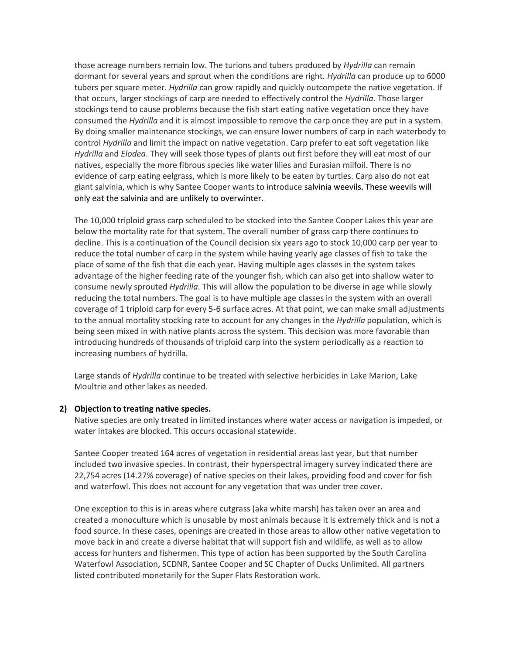those acreage numbers remain low. The turions and tubers produced by *Hydrilla* can remain dormant for several years and sprout when the conditions are right. *Hydrilla* can produce up to 6000 tubers per square meter. *Hydrilla* can grow rapidly and quickly outcompete the native vegetation. If that occurs, larger stockings of carp are needed to effectively control the *Hydrilla*. Those larger stockings tend to cause problems because the fish start eating native vegetation once they have consumed the *Hydrilla* and it is almost impossible to remove the carp once they are put in a system. By doing smaller maintenance stockings, we can ensure lower numbers of carp in each waterbody to control *Hydrilla* and limit the impact on native vegetation. Carp prefer to eat soft vegetation like *Hydrilla* and *Elodea*. They will seek those types of plants out first before they will eat most of our natives, especially the more fibrous species like water lilies and Eurasian milfoil. There is no evidence of carp eating eelgrass, which is more likely to be eaten by turtles. Carp also do not eat giant salvinia, which is why Santee Cooper wants to introduce salvinia weevils. These weevils will only eat the salvinia and are unlikely to overwinter.

The 10,000 triploid grass carp scheduled to be stocked into the Santee Cooper Lakes this year are below the mortality rate for that system. The overall number of grass carp there continues to decline. This is a continuation of the Council decision six years ago to stock 10,000 carp per year to reduce the total number of carp in the system while having yearly age classes of fish to take the place of some of the fish that die each year. Having multiple ages classes in the system takes advantage of the higher feeding rate of the younger fish, which can also get into shallow water to consume newly sprouted *Hydrilla*. This will allow the population to be diverse in age while slowly reducing the total numbers. The goal is to have multiple age classes in the system with an overall coverage of 1 triploid carp for every 5-6 surface acres. At that point, we can make small adjustments to the annual mortality stocking rate to account for any changes in the *Hydrilla* population, which is being seen mixed in with native plants across the system. This decision was more favorable than introducing hundreds of thousands of triploid carp into the system periodically as a reaction to increasing numbers of hydrilla.

Large stands of *Hydrilla* continue to be treated with selective herbicides in Lake Marion, Lake Moultrie and other lakes as needed.

### **2) Objection to treating native species.**

Native species are only treated in limited instances where water access or navigation is impeded, or water intakes are blocked. This occurs occasional statewide.

Santee Cooper treated 164 acres of vegetation in residential areas last year, but that number included two invasive species. In contrast, their hyperspectral imagery survey indicated there are 22,754 acres (14.27% coverage) of native species on their lakes, providing food and cover for fish and waterfowl. This does not account for any vegetation that was under tree cover.

One exception to this is in areas where cutgrass (aka white marsh) has taken over an area and created a monoculture which is unusable by most animals because it is extremely thick and is not a food source. In these cases, openings are created in those areas to allow other native vegetation to move back in and create a diverse habitat that will support fish and wildlife, as well as to allow access for hunters and fishermen. This type of action has been supported by the South Carolina Waterfowl Association, SCDNR, Santee Cooper and SC Chapter of Ducks Unlimited. All partners listed contributed monetarily for the Super Flats Restoration work.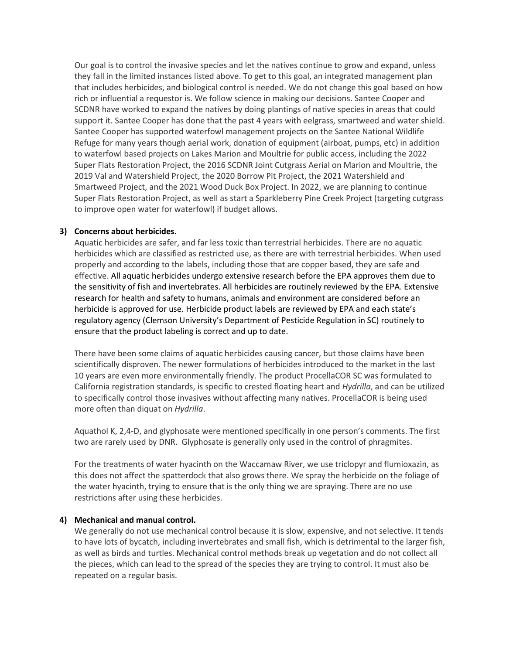Our goal is to control the invasive species and let the natives continue to grow and expand, unless they fall in the limited instances listed above. To get to this goal, an integrated management plan that includes herbicides, and biological control is needed. We do not change this goal based on how rich or influential a requestor is. We follow science in making our decisions. Santee Cooper and SCDNR have worked to expand the natives by doing plantings of native species in areas that could support it. Santee Cooper has done that the past 4 years with eelgrass, smartweed and water shield. Santee Cooper has supported waterfowl management projects on the Santee National Wildlife Refuge for many years though aerial work, donation of equipment (airboat, pumps, etc) in addition to waterfowl based projects on Lakes Marion and Moultrie for public access, including the 2022 Super Flats Restoration Project, the 2016 SCDNR Joint Cutgrass Aerial on Marion and Moultrie, the 2019 Val and Watershield Project, the 2020 Borrow Pit Project, the 2021 Watershield and Smartweed Project, and the 2021 Wood Duck Box Project. In 2022, we are planning to continue Super Flats Restoration Project, as well as start a Sparkleberry Pine Creek Project (targeting cutgrass to improve open water for waterfowl) if budget allows.

## **3) Concerns about herbicides.**

Aquatic herbicides are safer, and far less toxic than terrestrial herbicides. There are no aquatic herbicides which are classified as restricted use, as there are with terrestrial herbicides. When used properly and according to the labels, including those that are copper based, they are safe and effective. All aquatic herbicides undergo extensive research before the EPA approves them due to the sensitivity of fish and invertebrates. All herbicides are routinely reviewed by the EPA. Extensive research for health and safety to humans, animals and environment are considered before an herbicide is approved for use. Herbicide product labels are reviewed by EPA and each state's regulatory agency (Clemson University's Department of Pesticide Regulation in SC) routinely to ensure that the product labeling is correct and up to date.

There have been some claims of aquatic herbicides causing cancer, but those claims have been scientifically disproven. The newer formulations of herbicides introduced to the market in the last 10 years are even more environmentally friendly. The product ProcellaCOR SC was formulated to California registration standards, is specific to crested floating heart and *Hydrilla*, and can be utilized to specifically control those invasives without affecting many natives. ProcellaCOR is being used more often than diquat on *Hydrilla*.

Aquathol K, 2,4-D, and glyphosate were mentioned specifically in one person's comments. The first two are rarely used by DNR. Glyphosate is generally only used in the control of phragmites.

For the treatments of water hyacinth on the Waccamaw River, we use triclopyr and flumioxazin, as this does not affect the spatterdock that also grows there. We spray the herbicide on the foliage of the water hyacinth, trying to ensure that is the only thing we are spraying. There are no use restrictions after using these herbicides.

### **4) Mechanical and manual control.**

We generally do not use mechanical control because it is slow, expensive, and not selective. It tends to have lots of bycatch, including invertebrates and small fish, which is detrimental to the larger fish, as well as birds and turtles. Mechanical control methods break up vegetation and do not collect all the pieces, which can lead to the spread of the species they are trying to control. It must also be repeated on a regular basis.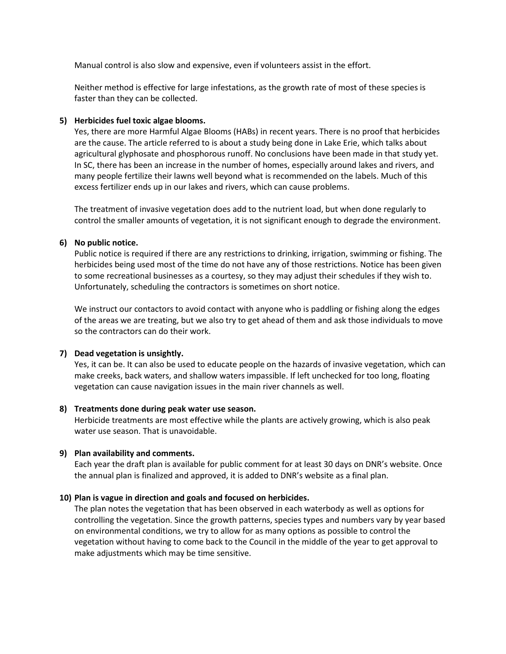Manual control is also slow and expensive, even if volunteers assist in the effort.

Neither method is effective for large infestations, as the growth rate of most of these species is faster than they can be collected.

# **5) Herbicides fuel toxic algae blooms.**

Yes, there are more Harmful Algae Blooms (HABs) in recent years. There is no proof that herbicides are the cause. The article referred to is about a study being done in Lake Erie, which talks about agricultural glyphosate and phosphorous runoff. No conclusions have been made in that study yet. In SC, there has been an increase in the number of homes, especially around lakes and rivers, and many people fertilize their lawns well beyond what is recommended on the labels. Much of this excess fertilizer ends up in our lakes and rivers, which can cause problems.

The treatment of invasive vegetation does add to the nutrient load, but when done regularly to control the smaller amounts of vegetation, it is not significant enough to degrade the environment.

## **6) No public notice.**

Public notice is required if there are any restrictions to drinking, irrigation, swimming or fishing. The herbicides being used most of the time do not have any of those restrictions. Notice has been given to some recreational businesses as a courtesy, so they may adjust their schedules if they wish to. Unfortunately, scheduling the contractors is sometimes on short notice.

We instruct our contactors to avoid contact with anyone who is paddling or fishing along the edges of the areas we are treating, but we also try to get ahead of them and ask those individuals to move so the contractors can do their work.

### **7) Dead vegetation is unsightly.**

Yes, it can be. It can also be used to educate people on the hazards of invasive vegetation, which can make creeks, back waters, and shallow waters impassible. If left unchecked for too long, floating vegetation can cause navigation issues in the main river channels as well.

### **8) Treatments done during peak water use season.**

Herbicide treatments are most effective while the plants are actively growing, which is also peak water use season. That is unavoidable.

# **9) Plan availability and comments.**

Each year the draft plan is available for public comment for at least 30 days on DNR's website. Once the annual plan is finalized and approved, it is added to DNR's website as a final plan.

# **10) Plan is vague in direction and goals and focused on herbicides.**

The plan notes the vegetation that has been observed in each waterbody as well as options for controlling the vegetation. Since the growth patterns, species types and numbers vary by year based on environmental conditions, we try to allow for as many options as possible to control the vegetation without having to come back to the Council in the middle of the year to get approval to make adjustments which may be time sensitive.